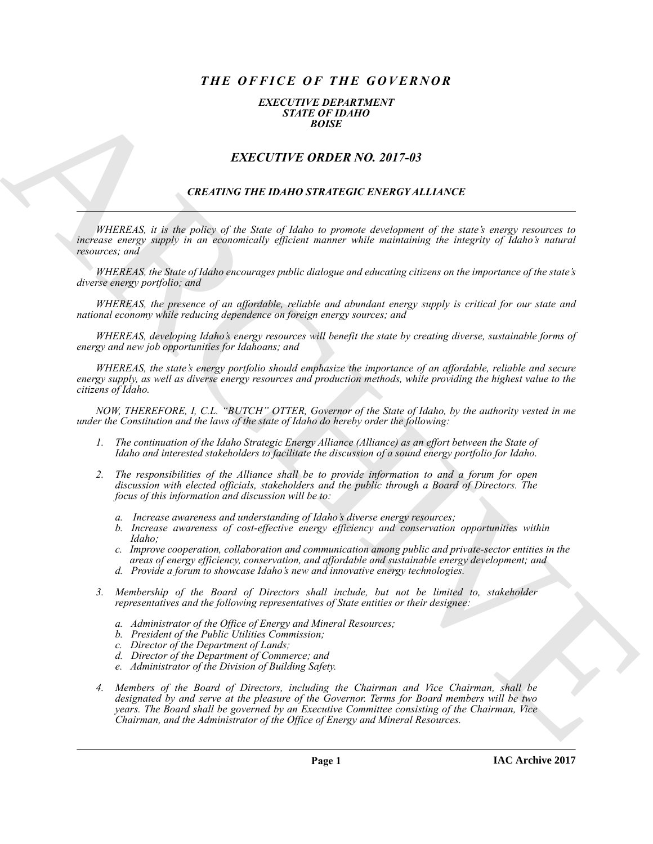# *THE OFFICE OF THE GOVERNOR*

### *EXECUTIVE DEPARTMENT STATE OF IDAHO BOISE*

# *EXECUTIVE ORDER NO. 2017-03*

## *CREATING THE IDAHO STRATEGIC ENERGY ALLIANCE*

*WHEREAS, it is the policy of the State of Idaho to promote development of the state's energy resources to increase energy supply in an economically efficient manner while maintaining the integrity of Idaho's natural resources; and*

*WHEREAS, the State of Idaho encourages public dialogue and educating citizens on the importance of the state's diverse energy portfolio; and*

*WHEREAS, the presence of an affordable, reliable and abundant energy supply is critical for our state and national economy while reducing dependence on foreign energy sources; and*

*WHEREAS, developing Idaho's energy resources will benefit the state by creating diverse, sustainable forms of energy and new job opportunities for Idahoans; and*

*WHEREAS, the state's energy portfolio should emphasize the importance of an affordable, reliable and secure energy supply, as well as diverse energy resources and production methods, while providing the highest value to the citizens of Idaho.*

*NOW, THEREFORE, I, C.L. "BUTCH" OTTER, Governor of the State of Idaho, by the authority vested in me under the Constitution and the laws of the state of Idaho do hereby order the following:*

- *1. The continuation of the Idaho Strategic Energy Alliance (Alliance) as an effort between the State of Idaho and interested stakeholders to facilitate the discussion of a sound energy portfolio for Idaho.*
- *2. The responsibilities of the Alliance shall be to provide information to and a forum for open discussion with elected officials, stakeholders and the public through a Board of Directors. The focus of this information and discussion will be to:*
	- *a. Increase awareness and understanding of Idaho's diverse energy resources;*
	- *b. Increase awareness of cost-effective energy efficiency and conservation opportunities within Idaho;*
	- *c. Improve cooperation, collaboration and communication among public and private-sector entities in the areas of energy efficiency, conservation, and affordable and sustainable energy development; and*
	- *d. Provide a forum to showcase Idaho's new and innovative energy technologies.*
- *3. Membership of the Board of Directors shall include, but not be limited to, stakeholder representatives and the following representatives of State entities or their designee:*
	- *a. Administrator of the Office of Energy and Mineral Resources;*
	- *b. President of the Public Utilities Commission;*
	- *c. Director of the Department of Lands;*
	- *d. Director of the Department of Commerce; and*
	- *e. Administrator of the Division of Building Safety.*
- EXACTLY THE GROBER NO. 2017-03<br>
EXACTLY THE GROBER NO. 2017-03<br>
EXACTLY THE GROBER NO. 2017-03<br>
CREATIVE THE HOAD STRATEGIC EXACTS ALLEXVE<br>
THERE S. If the principal the signature of the signature of the main of the inter *4. Members of the Board of Directors, including the Chairman and Vice Chairman, shall be designated by and serve at the pleasure of the Governor. Terms for Board members will be two years. The Board shall be governed by an Executive Committee consisting of the Chairman, Vice Chairman, and the Administrator of the Office of Energy and Mineral Resources.*